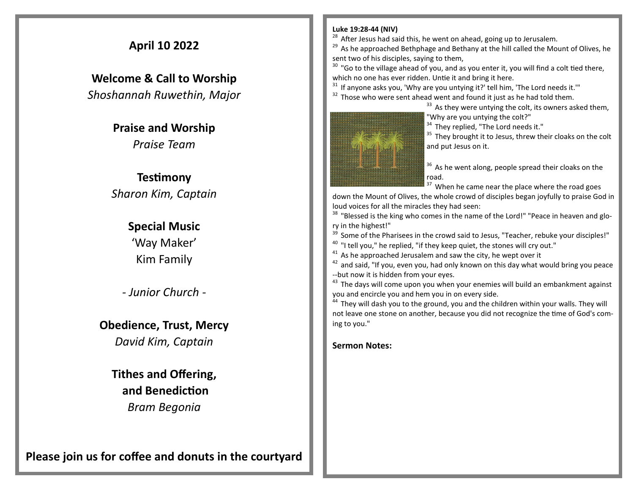## **April 10 2022**

**Welcome & Call to Worship**  *Shoshannah Ruwethin, Major*

> **Praise and Worship** *Praise Team*

## **Testimony** *Sharon Kim, Captain*

### **Special Music**

'Way Maker' Kim Family

*- Junior Church -*

**Obedience, Trust, Mercy**

*David Kim, Captain*

**Tithes and Offering, and Benediction** *Bram Begonia* 

**Please join us for coffee and donuts in the courtyard**

#### **Luke 19:28-44 (NIV)**

 $28$  After Jesus had said this, he went on ahead, going up to Jerusalem.

 $29$  As he approached Bethphage and Bethany at the hill called the Mount of Olives, he sent two of his disciples, saying to them,

 $30$  "Go to the village ahead of you, and as you enter it, you will find a colt tied there, which no one has ever ridden. Untie it and bring it here.

 $31$  If anyone asks you, 'Why are you untying it?' tell him, 'The Lord needs it.'"

 $32$  Those who were sent ahead went and found it just as he had told them.

 $33$  As they were untying the colt, its owners asked them, "Why are you untying the colt?"

<sup>34</sup> They replied, "The Lord needs it."

<sup>35</sup> They brought it to Jesus, threw their cloaks on the colt and put Jesus on it.

<sup>36</sup> As he went along, people spread their cloaks on the road.

<sup>37</sup> When he came near the place where the road goes

down the Mount of Olives, the whole crowd of disciples began joyfully to praise God in loud voices for all the miracles they had seen:

<sup>38</sup> "Blessed is the king who comes in the name of the Lord!" "Peace in heaven and glory in the highest!"

Some of the Pharisees in the crowd said to Jesus, "Teacher, rebuke your disciples!"

<sup>40</sup> "I tell you," he replied, "if they keep quiet, the stones will cry out."

As he approached Jerusalem and saw the city, he wept over it

 $42$  and said, "If you, even you, had only known on this day what would bring you peace --but now it is hidden from your eyes.

 $43$  The days will come upon you when your enemies will build an embankment against you and encircle you and hem you in on every side.

<sup>44</sup> They will dash you to the ground, you and the children within your walls. They will not leave one stone on another, because you did not recognize the time of God's coming to you."

**Sermon Notes:**